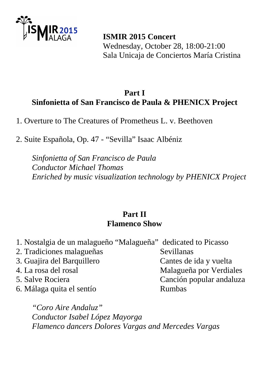

 **ISMIR 2015 Concert**  Wednesday, October 28, 18:00-21:00 Sala Unicaja de Conciertos María Cristina

### **Part I Sinfonietta of San Francisco de Paula & PHENICX Project**

1. Overture to The Creatures of Prometheus L. v. Beethoven

2. Suite Española, Op. 47 - "Sevilla" Isaac Albéniz

*Sinfonietta of San Francisco de Paula Conductor Michael Thomas Enriched by music visualization technology by PHENICX Project* 

## **Part II Flamenco Show**

| 1. Nostalgia de un malagueño "Malagueña" dedicated to Picasso |                          |
|---------------------------------------------------------------|--------------------------|
| 2. Tradiciones malagueñas                                     | Sevillanas               |
| 3. Guajira del Barquillero                                    | Cantes de ida y vuelta   |
| 4. La rosa del rosal                                          | Malagueña por Verdiales  |
| 5. Salve Rociera                                              | Canción popular andaluza |
| 6. Málaga quita el sentío                                     | <b>Rumbas</b>            |
|                                                               |                          |

*"Coro Aire Andaluz" Conductor Isabel López Mayorga Flamenco dancers Dolores Vargas and Mercedes Vargas*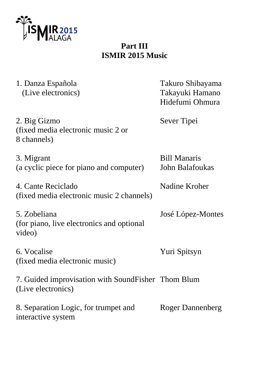

# **Part III ISMIR 2015 Music**

| 1. Danza Española<br>(Live electronics)                                  | Takuro Shibayama<br>Takayuki Hamano<br>Hidefumi Ohmura |
|--------------------------------------------------------------------------|--------------------------------------------------------|
| 2. Big Gizmo<br>(fixed media electronic music 2 or<br>8 channels)        | Sever Tipei                                            |
| 3. Migrant<br>(a cyclic piece for piano and computer)                    | <b>Bill Manaris</b><br>John Balafoukas                 |
| 4. Cante Reciclado<br>(fixed media electronic music 2 channels)          | Nadine Kroher                                          |
| 5. Zobeliana<br>(for piano, live electronics and optional<br>video)      | José López-Montes                                      |
| 6. Vocalise<br>(fixed media electronic music)                            | Yuri Spitsyn                                           |
| 7. Guided improvisation with SoundFisher Thom Blum<br>(Live electronics) |                                                        |
| 8. Separation Logic, for trumpet and<br>interactive system               | <b>Roger Dannenberg</b>                                |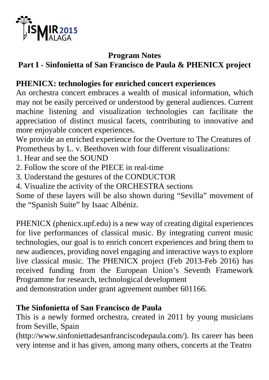

### **Program Notes**

# **Part I - Sinfonietta of San Francisco de Paula & PHENICX project**

# **PHENICX: technologies for enriched concert experiences**

An orchestra concert embraces a wealth of musical information, which may not be easily perceived or understood by general audiences. Current machine listening and visualization technologies can facilitate the appreciation of distinct musical facets, contributing to innovative and more enjoyable concert experiences.

We provide an enriched experience for the Overture to The Creatures of Prometheus by L. v. Beethoven with four different visualizations:

- 1. Hear and see the SOUND
- 2. Follow the score of the PIECE in real-time
- 3. Understand the gestures of the CONDUCTOR
- 4. Visualize the activity of the ORCHESTRA sections

Some of these layers will be also shown during "Sevilla" movement of the "Spanish Suite" by Isaac Albéniz.

PHENICX (phenicx.upf.edu) is a new way of creating digital experiences for live performances of classical music. By integrating current music technologies, our goal is to enrich concert experiences and bring them to new audiences, providing novel engaging and interactive ways to explore live classical music. The PHENICX project (Feb 2013-Feb 2016) has received funding from the European Union's Seventh Framework Programme for research, technological development

and demonstration under grant agreement number 601166.

### **The Sinfonietta of San Francisco de Paula**

This is a newly formed orchestra, created in 2011 by young musicians from Seville, Spain

(http://www.sinfoniettadesanfranciscodepaula.com/). Its career has been very intense and it has given, among many others, concerts at the Teatro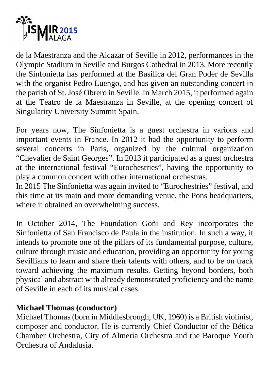

de la Maestranza and the Alcazar of Seville in 2012, performances in the Olympic Stadium in Seville and Burgos Cathedral in 2013. More recently the Sinfonietta has performed at the Basilica del Gran Poder de Sevilla with the organist Pedro Luengo, and has given an outstanding concert in the parish of St. José Obrero in Seville. In March 2015, it performed again at the Teatro de la Maestranza in Seville, at the opening concert of Singularity University Summit Spain.

For years now, The Sinfonietta is a guest orchestra in various and important events in France. In 2012 it had the opportunity to perform several concerts in Paris, organized by the cultural organization "Chevalier de Saint Georges". In 2013 it participated as a guest orchestra at the international festival "Eurochestries", having the opportunity to play a common concert with other international orchestras.

In 2015 The Sinfonietta was again invited to "Eurochestries" festival, and this time at its main and more demanding venue, the Pons headquarters, where it obtained an overwhelming success.

In October 2014, The Foundation Goñi and Rey incorporates the Sinfonietta of San Francisco de Paula in the institution. In such a way, it intends to promote one of the pillars of its fundamental purpose, culture, culture through music and education, providing an opportunity for young Sevillians to learn and share their talents with others, and to be on track toward achieving the maximum results. Getting beyond borders, both physical and abstract with already demonstrated proficiency and the name of Seville in each of its musical cases.

### **Michael Thomas (conductor)**

Michael Thomas (born in Middlesbrough, UK, 1960) is a British violinist, composer and conductor. He is currently Chief Conductor of the Bética Chamber Orchestra, City of Almería Orchestra and the Baroque Youth Orchestra of Andalusia.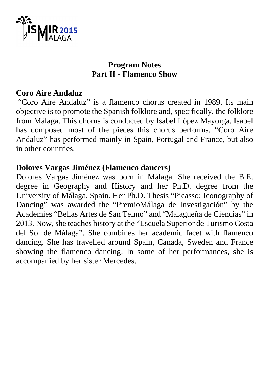

### **Program Notes Part II - Flamenco Show**

### **Coro Aire Andaluz**

 "Coro Aire Andaluz" is a flamenco chorus created in 1989. Its main objective is to promote the Spanish folklore and, specifically, the folklore from Málaga. This chorus is conducted by Isabel López Mayorga. Isabel has composed most of the pieces this chorus performs. "Coro Aire Andaluz" has performed mainly in Spain, Portugal and France, but also in other countries.

### **Dolores Vargas Jiménez (Flamenco dancers)**

Dolores Vargas Jiménez was born in Málaga. She received the B.E. degree in Geography and History and her Ph.D. degree from the University of Málaga, Spain. Her Ph.D. Thesis "Picasso: Iconography of Dancing" was awarded the "PremioMálaga de Investigación" by the Academies "Bellas Artes de San Telmo" and "Malagueña de Ciencias" in 2013. Now, she teaches history at the "Escuela Superior de Turismo Costa del Sol de Málaga". She combines her academic facet with flamenco dancing. She has travelled around Spain, Canada, Sweden and France showing the flamenco dancing. In some of her performances, she is accompanied by her sister Mercedes.